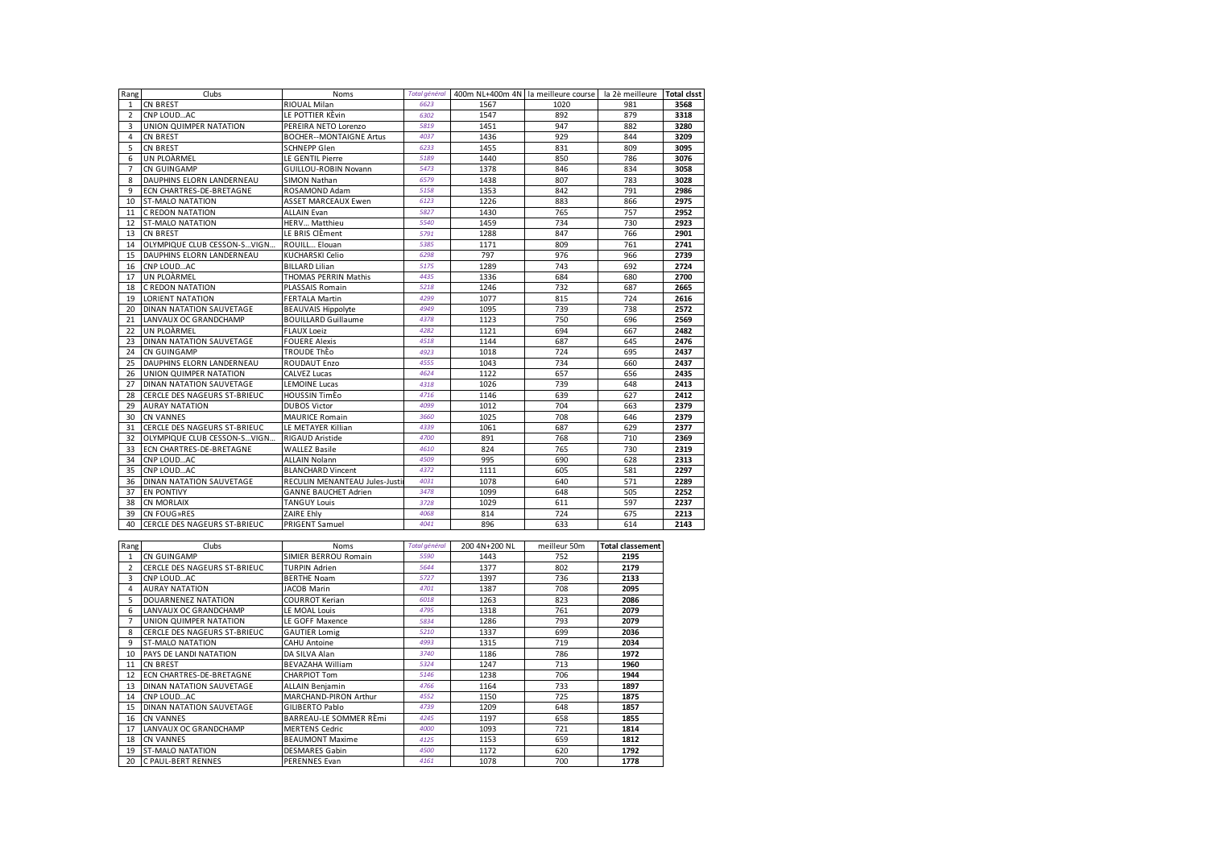| Rang           | Clubs                               | <b>Noms</b>                    | <b>Total général</b> |      | 400m NL+400m 4N la meilleure course la 2è meilleure Total clsst |     |      |
|----------------|-------------------------------------|--------------------------------|----------------------|------|-----------------------------------------------------------------|-----|------|
| $\mathbf{1}$   | <b>CN BREST</b>                     | <b>RIOUAL Milan</b>            | 6623                 | 1567 | 1020                                                            | 981 | 3568 |
| $\overline{2}$ | CNP LOUDAC                          | LE POTTIER KÈvin               | 6302                 | 1547 | 892                                                             | 879 | 3318 |
| 3              | UNION QUIMPER NATATION              | PEREIRA NETO Lorenzo           | 5819                 | 1451 | 947                                                             | 882 | 3280 |
| $\Delta$       | <b>CN BREST</b>                     | <b>BOCHER--MONTAIGNE Artus</b> | 4037                 | 1436 | 929                                                             | 844 | 3209 |
| 5              | <b>CN BREST</b>                     | <b>SCHNEPP Glen</b>            | 6233                 | 1455 | 831                                                             | 809 | 3095 |
| 6              | UN PLOARMEL                         | LE GENTIL Pierre               | 5189                 | 1440 | 850                                                             | 786 | 3076 |
| $\overline{7}$ | CN GUINGAMP                         | <b>GUILLOU-ROBIN Novann</b>    | 5473                 | 1378 | 846                                                             | 834 | 3058 |
| 8              | DAUPHINS ELORN LANDERNEAU           | <b>SIMON Nathan</b>            | 6579                 | 1438 | 807                                                             | 783 | 3028 |
| 9              | <b>ECN CHARTRES-DE-BRETAGNE</b>     | ROSAMOND Adam                  | 5158                 | 1353 | 842                                                             | 791 | 2986 |
| 10             | <b>ST-MALO NATATION</b>             | ASSET MARCEAUX Ewen            | 6123                 | 1226 | 883                                                             | 866 | 2975 |
| 11             | C REDON NATATION                    | <b>ALLAIN Evan</b>             | 5827                 | 1430 | 765                                                             | 757 | 2952 |
| 12             | <b>ST-MALO NATATION</b>             | HERV Matthieu                  | 5540                 | 1459 | 734                                                             | 730 | 2923 |
| 13             | <b>CN BREST</b>                     | LE BRIS ClÈment                | 5791                 | 1288 | 847                                                             | 766 | 2901 |
| 14             | <b>IOLYMPIQUE CLUB CESSON-SVIGN</b> | ROUILL Elouan                  | 5385                 | 1171 | 809                                                             | 761 | 2741 |
| 15             | DAUPHINS ELORN LANDERNEAU           | KUCHARSKI Celio                | 6298                 | 797  | 976                                                             | 966 | 2739 |
| 16             | CNP LOUDAC                          | <b>BILLARD Lilian</b>          | 5175                 | 1289 | 743                                                             | 692 | 2724 |
| 17             | UN PLOARMEL                         | THOMAS PERRIN Mathis           | 4435                 | 1336 | 684                                                             | 680 | 2700 |
| 18             | C REDON NATATION                    | PLASSAIS Romain                | 5218                 | 1246 | 732                                                             | 687 | 2665 |
| 19             | <b>LORIENT NATATION</b>             | <b>FERTALA Martin</b>          | 4299                 | 1077 | 815                                                             | 724 | 2616 |
| 20             | <b>DINAN NATATION SAUVETAGE</b>     | <b>BEAUVAIS Hippolyte</b>      | 4949                 | 1095 | 739                                                             | 738 | 2572 |
| 21             | LANVAUX OC GRANDCHAMP               | <b>BOUILLARD Guillaume</b>     | 4378                 | 1123 | 750                                                             | 696 | 2569 |
| 22             | UN PLOARMEL                         | <b>FLAUX Loeiz</b>             | 4282                 | 1121 | 694                                                             | 667 | 2482 |
| 23             | DINAN NATATION SAUVETAGE            | <b>FOUERE Alexis</b>           | 4518                 | 1144 | 687                                                             | 645 | 2476 |
| 24             | CN GUINGAMP                         | <b>TROUDE ThEO</b>             | 4923                 | 1018 | 724                                                             | 695 | 2437 |
| 25             | DAUPHINS ELORN LANDERNEAU           | ROUDAUT Enzo                   | 4555                 | 1043 | 734                                                             | 660 | 2437 |
| 26             | UNION QUIMPER NATATION              | <b>CALVEZ Lucas</b>            | 4624                 | 1122 | 657                                                             | 656 | 2435 |
| 27             | <b>DINAN NATATION SAUVETAGE</b>     | <b>LEMOINE Lucas</b>           | 4318                 | 1026 | 739                                                             | 648 | 2413 |
| 28             | <b>CERCLE DES NAGEURS ST-BRIEUC</b> | <b>HOUSSIN TimEo</b>           | 4716                 | 1146 | 639                                                             | 627 | 2412 |
| 29             | <b>AURAY NATATION</b>               | <b>DUBOS Victor</b>            | 4099                 | 1012 | 704                                                             | 663 | 2379 |
| 30             | <b>CN VANNES</b>                    | <b>MAURICE Romain</b>          | 3660                 | 1025 | 708                                                             | 646 | 2379 |
| 31             | CERCLE DES NAGEURS ST-BRIEUC        | LE METAYER Killian             | 4339                 | 1061 | 687                                                             | 629 | 2377 |
| 32             | OLYMPIQUE CLUB CESSON-SVIGN         | <b>RIGAUD Aristide</b>         | 4700                 | 891  | 768                                                             | 710 | 2369 |
| 33             | <b>ECN CHARTRES-DE-BRETAGNE</b>     | <b>WALLEZ Basile</b>           | 4610                 | 824  | 765                                                             | 730 | 2319 |
| 34             | CNP LOUDAC                          | <b>ALLAIN Nolann</b>           | 4509                 | 995  | 690                                                             | 628 | 2313 |
| 35             | CNP LOUDAC                          | <b>BLANCHARD Vincent</b>       | 4372                 | 1111 | 605                                                             | 581 | 2297 |
| 36             | <b>DINAN NATATION SAUVETAGE</b>     | RECULIN MENANTEAU Jules-Justi  | 4031                 | 1078 | 640                                                             | 571 | 2289 |
| 37             | <b>EN PONTIVY</b>                   | <b>GANNE BAUCHET Adrien</b>    | 3478                 | 1099 | 648                                                             | 505 | 2252 |
| 38             | <b>CN MORLAIX</b>                   | <b>TANGUY Louis</b>            | 3728                 | 1029 | 611                                                             | 597 | 2237 |
| 39             | CN FOUG»RES                         | ZAIRE Ehly                     | 4068                 | 814  | 724                                                             | 675 | 2213 |
| 40             | CERCLE DES NAGEURS ST-BRIEUC        | PRIGENT Samuel                 | 4041                 | 896  | 633                                                             | 614 | 2143 |

| Rang            | Clubs                           | Noms                    | <b>Total général</b> | 200 4N+200 NL | meilleur 50m | <b>Total classement</b> |
|-----------------|---------------------------------|-------------------------|----------------------|---------------|--------------|-------------------------|
|                 | <b>CN GUINGAMP</b>              | SIMIER BERROU Romain    | 5590                 | 1443          | 752          | 2195                    |
|                 | CERCLE DES NAGEURS ST-BRIEUC    | <b>TURPIN Adrien</b>    | 5644                 | 1377          | 802          | 2179                    |
| 3               | CNP LOUDAC                      | <b>BERTHE Noam</b>      | 5727                 | 1397          | 736          | 2133                    |
|                 | <b>AURAY NATATION</b>           | JACOB Marin             | 4701                 | 1387          | 708          | 2095                    |
|                 | DOUARNENEZ NATATION             | <b>COURROT Kerian</b>   | 6018                 | 1263          | 823          | 2086                    |
| 6               | LANVAUX OC GRANDCHAMP           | LE MOAL Louis           | 4795                 | 1318          | 761          | 2079                    |
|                 | UNION QUIMPER NATATION          | LE GOFF Maxence         | 5834                 | 1286          | 793          | 2079                    |
|                 | CERCLE DES NAGEURS ST-BRIEUC    | <b>GAUTIER Lomig</b>    | 5210                 | 1337          | 699          | 2036                    |
| 9               | <b>ST-MALO NATATION</b>         | <b>CAHU Antoine</b>     | 4993                 | 1315          | 719          | 2034                    |
| 10 <sup>2</sup> | <b>PAYS DE LANDI NATATION</b>   | DA SILVA Alan           | 3740                 | 1186          | 786          | 1972                    |
|                 | 11 ICN BREST                    | <b>BEVAZAHA William</b> | 5324                 | 1247          | 713          | 1960                    |
| 12              | <b>ECN CHARTRES-DE-BRETAGNE</b> | <b>CHARPIOT Tom</b>     | 5146                 | 1238          | 706          | 1944                    |
| 13              | DINAN NATATION SAUVETAGE        | <b>ALLAIN Benjamin</b>  | 4766                 | 1164          | 733          | 1897                    |
|                 | 14 CNP LOUDAC                   | MARCHAND-PIRON Arthur   | 4552                 | 1150          | 725          | 1875                    |
| 15              | <b>DINAN NATATION SAUVETAGE</b> | GILIBERTO Pablo         | 4739                 | 1209          | 648          | 1857                    |
| 16              | <b>CN VANNES</b>                | BARREAU-LE SOMMER RÈmi  | 4245                 | 1197          | 658          | 1855                    |
| 17              | LANVAUX OC GRANDCHAMP           | <b>MERTENS Cedric</b>   | 4000                 | 1093          | 721          | 1814                    |
| 18              | <b>CN VANNES</b>                | <b>BEAUMONT Maxime</b>  | 4125                 | 1153          | 659          | 1812                    |
| 19              | <b>ST-MALO NATATION</b>         | <b>DESMARES Gabin</b>   | 4500                 | 1172          | 620          | 1792                    |
|                 | 20 C PAUL-BERT RENNES           | <b>PERENNES Evan</b>    | 4161                 | 1078          | 700          | 1778                    |